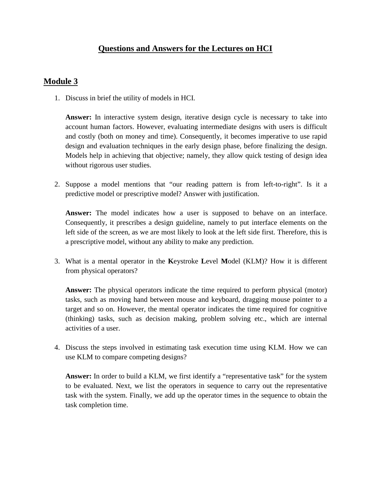## **Module 3**

1. Discuss in brief the utility of models in HCI.

**Answer:** In interactive system design, iterative design cycle is necessary to take into account human factors. However, evaluating intermediate designs with users is difficult and costly (both on money and time). Consequently, it becomes imperative to use rapid design and evaluation techniques in the early design phase, before finalizing the design. Models help in achieving that objective; namely, they allow quick testing of design idea without rigorous user studies.

2. Suppose a model mentions that "our reading pattern is from left-to-right". Is it a predictive model or prescriptive model? Answer with justification.

**Answer:** The model indicates how a user is supposed to behave on an interface. Consequently, it prescribes a design guideline, namely to put interface elements on the left side of the screen, as we are most likely to look at the left side first. Therefore, this is a prescriptive model, without any ability to make any prediction.

3. What is a mental operator in the **K**eystroke **L**evel **M**odel (KLM)? How it is different from physical operators?

**Answer:** The physical operators indicate the time required to perform physical (motor) tasks, such as moving hand between mouse and keyboard, dragging mouse pointer to a target and so on. However, the mental operator indicates the time required for cognitive (thinking) tasks, such as decision making, problem solving etc., which are internal activities of a user.

4. Discuss the steps involved in estimating task execution time using KLM. How we can use KLM to compare competing designs?

**Answer:** In order to build a KLM, we first identify a "representative task" for the system to be evaluated. Next, we list the operators in sequence to carry out the representative task with the system. Finally, we add up the operator times in the sequence to obtain the task completion time.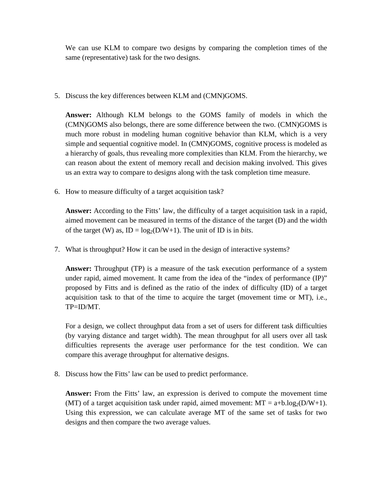We can use KLM to compare two designs by comparing the completion times of the same (representative) task for the two designs.

5. Discuss the key differences between KLM and (CMN)GOMS.

**Answer:** Although KLM belongs to the GOMS family of models in which the (CMN)GOMS also belongs, there are some difference between the two. (CMN)GOMS is much more robust in modeling human cognitive behavior than KLM, which is a very simple and sequential cognitive model. In (CMN)GOMS, cognitive process is modeled as a hierarchy of goals, thus revealing more complexities than KLM. From the hierarchy, we can reason about the extent of memory recall and decision making involved. This gives us an extra way to compare to designs along with the task completion time measure.

6. How to measure difficulty of a target acquisition task?

**Answer:** According to the Fitts' law, the difficulty of a target acquisition task in a rapid, aimed movement can be measured in terms of the distance of the target (D) and the width of the target (W) as,  $ID = log_2(D/W+1)$ . The unit of ID is in *bits*.

7. What is throughput? How it can be used in the design of interactive systems?

**Answer:** Throughput (TP) is a measure of the task execution performance of a system under rapid, aimed movement. It came from the idea of the "index of performance (IP)" proposed by Fitts and is defined as the ratio of the index of difficulty (ID) of a target acquisition task to that of the time to acquire the target (movement time or MT), i.e., TP=ID/MT.

For a design, we collect throughput data from a set of users for different task difficulties (by varying distance and target width). The mean throughput for all users over all task difficulties represents the average user performance for the test condition. We can compare this average throughput for alternative designs.

8. Discuss how the Fitts' law can be used to predict performance.

**Answer:** From the Fitts' law, an expression is derived to compute the movement time (MT) of a target acquisition task under rapid, aimed movement:  $MT = a+b \log_2(D/W+1)$ . Using this expression, we can calculate average MT of the same set of tasks for two designs and then compare the two average values.